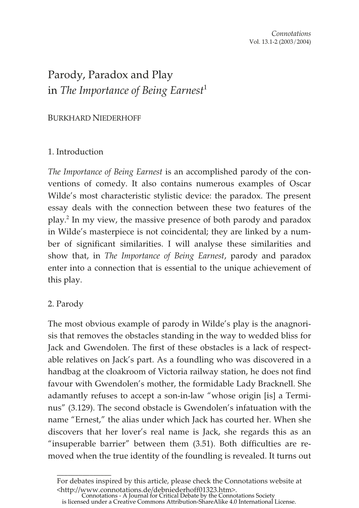# Parody, Paradox and Play in *The Importance of Being Earnest*<sup>1</sup>

## BURKHARD NIEDERHOFF

# 1. Introduction

*The Importance of Being Earnest* is an accomplished parody of the conventions of comedy. It also contains numerous examples of Oscar Wilde's most characteristic stylistic device: the paradox. The present essay deals with the connection between these two features of the play.2 In my view, the massive presence of both parody and paradox in Wilde's masterpiece is not coincidental; they are linked by a number of significant similarities. I will analyse these similarities and show that, in *The Importance of Being Earnest*, parody and paradox enter into a connection that is essential to the unique achievement of this play.

## 2. Parody

\_\_\_\_\_\_\_\_\_\_\_\_\_\_\_

The most obvious example of parody in Wilde's play is the anagnorisis that removes the obstacles standing in the way to wedded bliss for Jack and Gwendolen. The first of these obstacles is a lack of respectable relatives on Jack's part. As a foundling who was discovered in a handbag at the cloakroom of Victoria railway station, he does not find favour with Gwendolen's mother, the formidable Lady Bracknell. She adamantly refuses to accept a son-in-law "whose origin [is] a Terminus" (3.129). The second obstacle is Gwendolen's infatuation with the name "Ernest," the alias under which Jack has courted her. When she discovers that her lover's real name is Jack, she regards this as an "insuperable barrier" between them (3.51). Both difficulties are removed when the true identity of the foundling is revealed. It turns out

For debates inspired by this article, please check the Connotations website at <http://www.connotations.de/debniederhoff01323.htm>. Connotations - A Journal for Critical Debate by the Connotations Society

is licensed under a Creative Commons Attribution-ShareAlike 4.0 International License.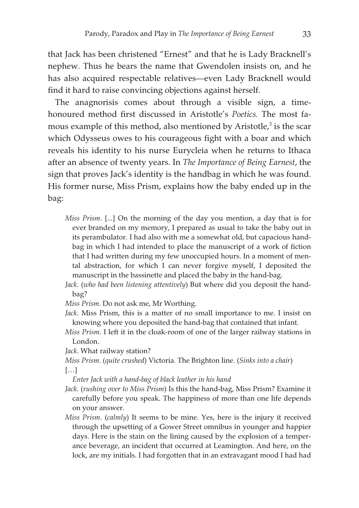that Jack has been christened "Ernest" and that he is Lady Bracknell's nephew. Thus he bears the name that Gwendolen insists on, and he has also acquired respectable relatives—even Lady Bracknell would find it hard to raise convincing objections against herself.

The anagnorisis comes about through a visible sign, a timehonoured method first discussed in Aristotle's *Poetics.* The most famous example of this method, also mentioned by Aristotle, $3$  is the scar which Odysseus owes to his courageous fight with a boar and which reveals his identity to his nurse Eurycleia when he returns to Ithaca after an absence of twenty years. In *The Importance of Being Earnest*, the sign that proves Jack's identity is the handbag in which he was found. His former nurse, Miss Prism, explains how the baby ended up in the bag:

- *Miss Prism*. [...] On the morning of the day you mention, a day that is for ever branded on my memory, I prepared as usual to take the baby out in its perambulator. I had also with me a somewhat old, but capacious handbag in which I had intended to place the manuscript of a work of fiction that I had written during my few unoccupied hours. In a moment of mental abstraction, for which I can never forgive myself, I deposited the manuscript in the bassinette and placed the baby in the hand-bag.
- *Jack*. (*who had been listening attentively*) But where did you deposit the handbag?

*Miss Prism*. Do not ask me, Mr Worthing.

- *Jack*. Miss Prism, this is a matter of no small importance to me. I insist on knowing where you deposited the hand-bag that contained that infant.
- *Miss Prism*. I left it in the cloak-room of one of the larger railway stations in London.

*Jack*. What railway station?

*Miss Prism*. (*quite crushed*) Victoria. The Brighton line. (*Sinks into a chair*)  $[\ldots]$ 

*Enter Jack with a hand-bag of black leather in his hand* 

- *Jack*. (*rushing over to Miss Prism*) Is this the hand-bag, Miss Prism? Examine it carefully before you speak. The happiness of more than one life depends on your answer.
- *Miss Prism*. (*calmly*) It seems to be mine. Yes, here is the injury it received through the upsetting of a Gower Street omnibus in younger and happier days. Here is the stain on the lining caused by the explosion of a temperance beverage, an incident that occurred at Leamington. And here, on the lock, are my initials. I had forgotten that in an extravagant mood I had had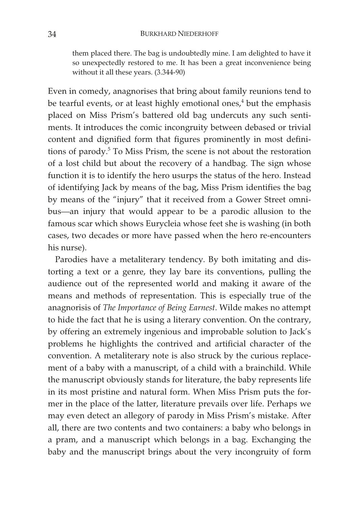them placed there. The bag is undoubtedly mine. I am delighted to have it so unexpectedly restored to me. It has been a great inconvenience being without it all these years. (3.344-90)

Even in comedy, anagnorises that bring about family reunions tend to be tearful events, or at least highly emotional ones,<sup>4</sup> but the emphasis placed on Miss Prism's battered old bag undercuts any such sentiments. It introduces the comic incongruity between debased or trivial content and dignified form that figures prominently in most definitions of parody.<sup>5</sup> To Miss Prism, the scene is not about the restoration of a lost child but about the recovery of a handbag. The sign whose function it is to identify the hero usurps the status of the hero. Instead of identifying Jack by means of the bag, Miss Prism identifies the bag by means of the "injury" that it received from a Gower Street omnibus—an injury that would appear to be a parodic allusion to the famous scar which shows Eurycleia whose feet she is washing (in both cases, two decades or more have passed when the hero re-encounters his nurse).

Parodies have a metaliterary tendency. By both imitating and distorting a text or a genre, they lay bare its conventions, pulling the audience out of the represented world and making it aware of the means and methods of representation. This is especially true of the anagnorisis of *The Importance of Being Earnest*. Wilde makes no attempt to hide the fact that he is using a literary convention. On the contrary, by offering an extremely ingenious and improbable solution to Jack's problems he highlights the contrived and artificial character of the convention. A metaliterary note is also struck by the curious replacement of a baby with a manuscript, of a child with a brainchild. While the manuscript obviously stands for literature, the baby represents life in its most pristine and natural form. When Miss Prism puts the former in the place of the latter, literature prevails over life. Perhaps we may even detect an allegory of parody in Miss Prism's mistake. After all, there are two contents and two containers: a baby who belongs in a pram, and a manuscript which belongs in a bag. Exchanging the baby and the manuscript brings about the very incongruity of form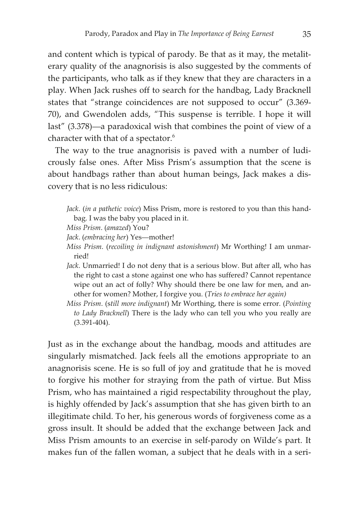and content which is typical of parody. Be that as it may, the metaliterary quality of the anagnorisis is also suggested by the comments of the participants, who talk as if they knew that they are characters in a play. When Jack rushes off to search for the handbag, Lady Bracknell states that "strange coincidences are not supposed to occur" (3.369- 70), and Gwendolen adds, "This suspense is terrible. I hope it will last" (3.378)—a paradoxical wish that combines the point of view of a character with that of a spectator.<sup>6</sup>

The way to the true anagnorisis is paved with a number of ludicrously false ones. After Miss Prism's assumption that the scene is about handbags rather than about human beings, Jack makes a discovery that is no less ridiculous:

- *Jack*. (*in a pathetic voice*) Miss Prism, more is restored to you than this handbag. I was the baby you placed in it.
- *Miss Prism*. (*amazed*) You?
- *Jack*. (*embracing her*) Yes—mother!
- *Miss Prism*. (*recoiling in indignant astonishment*) Mr Worthing! I am unmarried!
- *Jack*. Unmarried! I do not deny that is a serious blow. But after all, who has the right to cast a stone against one who has suffered? Cannot repentance wipe out an act of folly? Why should there be one law for men, and another for women? Mother, I forgive you. (*Tries to embrace her again)*
- *Miss Prism*. (s*till more indignant*) Mr Worthing, there is some error. (*Pointing to Lady Bracknell*) There is the lady who can tell you who you really are (3.391-404).

Just as in the exchange about the handbag, moods and attitudes are singularly mismatched. Jack feels all the emotions appropriate to an anagnorisis scene. He is so full of joy and gratitude that he is moved to forgive his mother for straying from the path of virtue. But Miss Prism, who has maintained a rigid respectability throughout the play, is highly offended by Jack's assumption that she has given birth to an illegitimate child. To her, his generous words of forgiveness come as a gross insult. It should be added that the exchange between Jack and Miss Prism amounts to an exercise in self-parody on Wilde's part. It makes fun of the fallen woman, a subject that he deals with in a seri-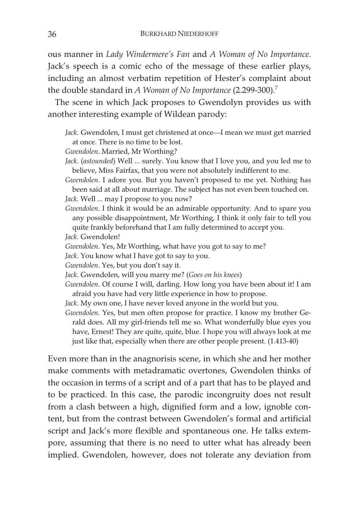ous manner in *Lady Windermere's Fan* and *A Woman of No Importance*. Jack's speech is a comic echo of the message of these earlier plays, including an almost verbatim repetition of Hester's complaint about the double standard in *A Woman of No Importance* (2.299-300).7

The scene in which Jack proposes to Gwendolyn provides us with another interesting example of Wildean parody:

- *Jack*. Gwendolen, I must get christened at once—I mean we must get married at once. There is no time to be lost.
- *Gwendolen*. Married, Mr Worthing?
- *Jack*. (*astounded*) Well ... surely. You know that I love you, and you led me to believe, Miss Fairfax, that you were not absolutely indifferent to me.

*Gwendolen*. I adore you. But you haven't proposed to me yet. Nothing has been said at all about marriage. The subject has not even been touched on. *Jack*. Well ... may I propose to you now?

*Gwendolen*. I think it would be an admirable opportunity. And to spare you any possible disappointment, Mr Worthing, I think it only fair to tell you quite frankly beforehand that I am fully determined to accept you.

*Jack*. Gwendolen!

*Gwendolen*. Yes, Mr Worthing, what have you got to say to me?

*Jack*. You know what I have got to say to you.

*Gwendolen*. Yes, but you don't say it.

*Jack*. Gwendolen, will you marry me? (*Goes on his knees*)

*Gwendolen*. Of course I will, darling. How long you have been about it! I am afraid you have had very little experience in how to propose.

*Jack*. My own one, I have never loved anyone in the world but you.

*Gwendolen*. Yes, but men often propose for practice. I know my brother Gerald does. All my girl-friends tell me so. What wonderfully blue eyes you have, Ernest! They are quite, quite, blue. I hope you will always look at me just like that, especially when there are other people present. (1.413-40)

Even more than in the anagnorisis scene, in which she and her mother make comments with metadramatic overtones, Gwendolen thinks of the occasion in terms of a script and of a part that has to be played and to be practiced. In this case, the parodic incongruity does not result from a clash between a high, dignified form and a low, ignoble content, but from the contrast between Gwendolen's formal and artificial script and Jack's more flexible and spontaneous one. He talks extempore, assuming that there is no need to utter what has already been implied. Gwendolen, however, does not tolerate any deviation from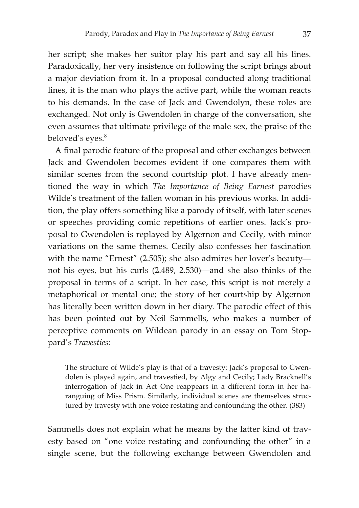her script; she makes her suitor play his part and say all his lines. Paradoxically, her very insistence on following the script brings about a major deviation from it. In a proposal conducted along traditional lines, it is the man who plays the active part, while the woman reacts to his demands. In the case of Jack and Gwendolyn, these roles are exchanged. Not only is Gwendolen in charge of the conversation, she even assumes that ultimate privilege of the male sex, the praise of the beloved's eyes.<sup>8</sup>

A final parodic feature of the proposal and other exchanges between Jack and Gwendolen becomes evident if one compares them with similar scenes from the second courtship plot. I have already mentioned the way in which *The Importance of Being Earnest* parodies Wilde's treatment of the fallen woman in his previous works. In addition, the play offers something like a parody of itself, with later scenes or speeches providing comic repetitions of earlier ones. Jack's proposal to Gwendolen is replayed by Algernon and Cecily, with minor variations on the same themes. Cecily also confesses her fascination with the name "Ernest" (2.505); she also admires her lover's beauty not his eyes, but his curls (2.489, 2.530)—and she also thinks of the proposal in terms of a script. In her case, this script is not merely a metaphorical or mental one; the story of her courtship by Algernon has literally been written down in her diary. The parodic effect of this has been pointed out by Neil Sammells, who makes a number of perceptive comments on Wildean parody in an essay on Tom Stoppard's *Travesties*:

The structure of Wilde's play is that of a travesty: Jack's proposal to Gwendolen is played again, and travestied, by Algy and Cecily; Lady Bracknell's interrogation of Jack in Act One reappears in a different form in her haranguing of Miss Prism. Similarly, individual scenes are themselves structured by travesty with one voice restating and confounding the other. (383)

Sammells does not explain what he means by the latter kind of travesty based on "one voice restating and confounding the other" in a single scene, but the following exchange between Gwendolen and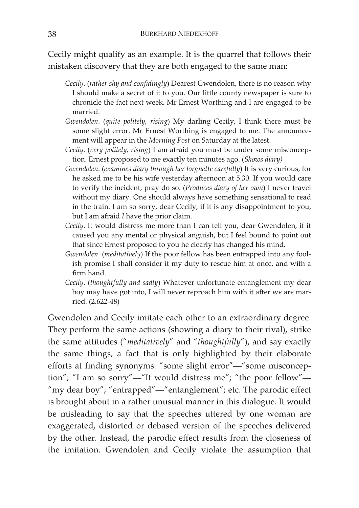Cecily might qualify as an example. It is the quarrel that follows their mistaken discovery that they are both engaged to the same man:

- *Cecily*. (*rather shy and confidingly*) Dearest Gwendolen, there is no reason why I should make a secret of it to you. Our little county newspaper is sure to chronicle the fact next week. Mr Ernest Worthing and I are engaged to be married.
- *Gwendolen*. (*quite politely, rising*) My darling Cecily, I think there must be some slight error. Mr Ernest Worthing is engaged to me. The announcement will appear in the *Morning Post* on Saturday at the latest.
- *Cecily*. (*very politely, rising*) I am afraid you must be under some misconception. Ernest proposed to me exactly ten minutes ago. (*Shows diary)*
- *Gwendolen*. (*examines diary through her lorgnette carefully*) It is very curious, for he asked me to be his wife yesterday afternoon at 5.30. If you would care to verify the incident, pray do so. (*Produces diary of her own*) I never travel without my diary. One should always have something sensational to read in the train. I am so sorry, dear Cecily, if it is any disappointment to you, but I am afraid *I* have the prior claim.
- *Cecily*. It would distress me more than I can tell you, dear Gwendolen, if it caused you any mental or physical anguish, but I feel bound to point out that since Ernest proposed to you he clearly has changed his mind.
- *Gwendolen*. (*meditatively*) If the poor fellow has been entrapped into any foolish promise I shall consider it my duty to rescue him at once, and with a firm hand.
- *Cecily*. (*thoughtfully and sadly*) Whatever unfortunate entanglement my dear boy may have got into, I will never reproach him with it after we are married. (2.622-48)

Gwendolen and Cecily imitate each other to an extraordinary degree. They perform the same actions (showing a diary to their rival), strike the same attitudes ("*meditatively*" and "*thoughtfully*"), and say exactly the same things, a fact that is only highlighted by their elaborate efforts at finding synonyms: "some slight error"—"some misconception"; "I am so sorry"—"It would distress me"; "the poor fellow"— "my dear boy"; "entrapped"—"entanglement"; etc. The parodic effect is brought about in a rather unusual manner in this dialogue. It would be misleading to say that the speeches uttered by one woman are exaggerated, distorted or debased version of the speeches delivered by the other. Instead, the parodic effect results from the closeness of the imitation. Gwendolen and Cecily violate the assumption that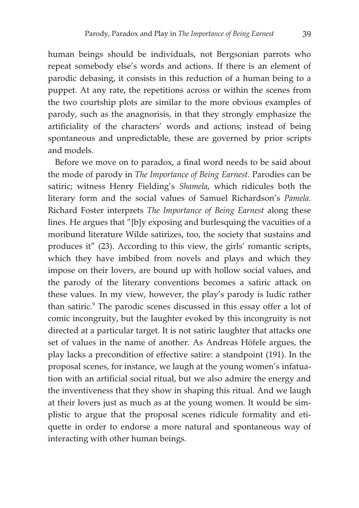human beings should be individuals, not Bergsonian parrots who repeat somebody else's words and actions. If there is an element of parodic debasing, it consists in this reduction of a human being to a puppet. At any rate, the repetitions across or within the scenes from the two courtship plots are similar to the more obvious examples of parody, such as the anagnorisis, in that they strongly emphasize the artificiality of the characters' words and actions; instead of being spontaneous and unpredictable, these are governed by prior scripts and models.

Before we move on to paradox, a final word needs to be said about the mode of parody in *The Importance of Being Earnest*. Parodies can be satiric; witness Henry Fielding's *Shamela*, which ridicules both the literary form and the social values of Samuel Richardson's *Pamela*. Richard Foster interprets *The Importance of Being Earnest* along these lines. He argues that "[b]y exposing and burlesquing the vacuities of a moribund literature Wilde satirizes, too, the society that sustains and produces it" (23). According to this view, the girls' romantic scripts, which they have imbibed from novels and plays and which they impose on their lovers, are bound up with hollow social values, and the parody of the literary conventions becomes a satiric attack on these values. In my view, however, the play's parody is ludic rather than satiric.<sup>9</sup> The parodic scenes discussed in this essay offer a lot of comic incongruity, but the laughter evoked by this incongruity is not directed at a particular target. It is not satiric laughter that attacks one set of values in the name of another. As Andreas Höfele argues, the play lacks a precondition of effective satire: a standpoint (191). In the proposal scenes, for instance, we laugh at the young women's infatuation with an artificial social ritual, but we also admire the energy and the inventiveness that they show in shaping this ritual. And we laugh at their lovers just as much as at the young women. It would be simplistic to argue that the proposal scenes ridicule formality and etiquette in order to endorse a more natural and spontaneous way of interacting with other human beings.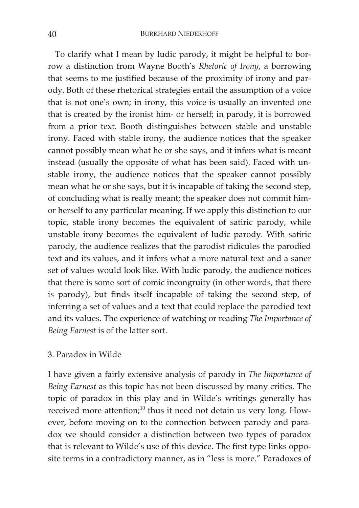To clarify what I mean by ludic parody, it might be helpful to borrow a distinction from Wayne Booth's *Rhetoric of Irony*, a borrowing that seems to me justified because of the proximity of irony and parody. Both of these rhetorical strategies entail the assumption of a voice that is not one's own; in irony, this voice is usually an invented one that is created by the ironist him- or herself; in parody, it is borrowed from a prior text. Booth distinguishes between stable and unstable irony. Faced with stable irony, the audience notices that the speaker cannot possibly mean what he or she says, and it infers what is meant instead (usually the opposite of what has been said). Faced with unstable irony, the audience notices that the speaker cannot possibly mean what he or she says, but it is incapable of taking the second step, of concluding what is really meant; the speaker does not commit himor herself to any particular meaning. If we apply this distinction to our topic, stable irony becomes the equivalent of satiric parody, while unstable irony becomes the equivalent of ludic parody. With satiric parody, the audience realizes that the parodist ridicules the parodied text and its values, and it infers what a more natural text and a saner set of values would look like. With ludic parody, the audience notices that there is some sort of comic incongruity (in other words, that there is parody), but finds itself incapable of taking the second step, of inferring a set of values and a text that could replace the parodied text and its values. The experience of watching or reading *The Importance of Being Earnest* is of the latter sort.

### 3. Paradox in Wilde

I have given a fairly extensive analysis of parody in *The Importance of Being Earnest* as this topic has not been discussed by many critics. The topic of paradox in this play and in Wilde's writings generally has received more attention;<sup>10</sup> thus it need not detain us very long. However, before moving on to the connection between parody and paradox we should consider a distinction between two types of paradox that is relevant to Wilde's use of this device. The first type links opposite terms in a contradictory manner, as in "less is more." Paradoxes of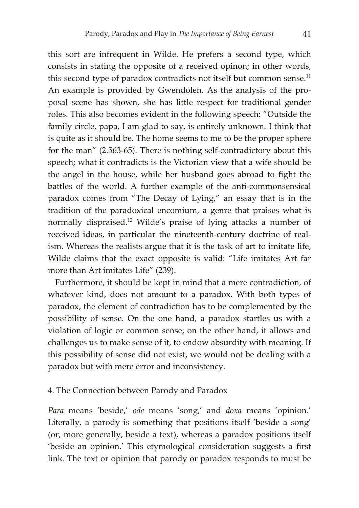this sort are infrequent in Wilde. He prefers a second type, which consists in stating the opposite of a received opinon; in other words, this second type of paradox contradicts not itself but common sense. $^{11}$ An example is provided by Gwendolen. As the analysis of the proposal scene has shown, she has little respect for traditional gender roles. This also becomes evident in the following speech: "Outside the family circle, papa, I am glad to say, is entirely unknown. I think that is quite as it should be. The home seems to me to be the proper sphere for the man" (2.563-65). There is nothing self-contradictory about this speech; what it contradicts is the Victorian view that a wife should be the angel in the house, while her husband goes abroad to fight the battles of the world. A further example of the anti-commonsensical paradox comes from "The Decay of Lying," an essay that is in the tradition of the paradoxical encomium, a genre that praises what is normally dispraised.12 Wilde's praise of lying attacks a number of received ideas, in particular the nineteenth-century doctrine of realism. Whereas the realists argue that it is the task of art to imitate life, Wilde claims that the exact opposite is valid: "Life imitates Art far more than Art imitates Life" (239).

Furthermore, it should be kept in mind that a mere contradiction, of whatever kind, does not amount to a paradox. With both types of paradox, the element of contradiction has to be complemented by the possibility of sense. On the one hand, a paradox startles us with a violation of logic or common sense; on the other hand, it allows and challenges us to make sense of it, to endow absurdity with meaning. If this possibility of sense did not exist, we would not be dealing with a paradox but with mere error and inconsistency.

#### 4. The Connection between Parody and Paradox

*Para* means 'beside,' *ode* means 'song,' and *doxa* means 'opinion.' Literally, a parody is something that positions itself 'beside a song' (or, more generally, beside a text), whereas a paradox positions itself 'beside an opinion.' This etymological consideration suggests a first link. The text or opinion that parody or paradox responds to must be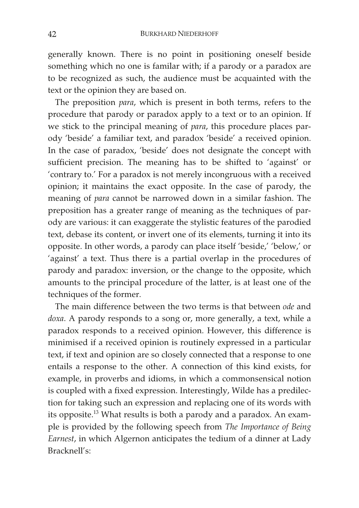generally known. There is no point in positioning oneself beside something which no one is familar with; if a parody or a paradox are to be recognized as such, the audience must be acquainted with the text or the opinion they are based on.

The preposition *para*, which is present in both terms, refers to the procedure that parody or paradox apply to a text or to an opinion. If we stick to the principal meaning of *para*, this procedure places parody 'beside' a familiar text, and paradox 'beside' a received opinion. In the case of paradox, 'beside' does not designate the concept with sufficient precision. The meaning has to be shifted to 'against' or 'contrary to.' For a paradox is not merely incongruous with a received opinion; it maintains the exact opposite. In the case of parody, the meaning of *para* cannot be narrowed down in a similar fashion. The preposition has a greater range of meaning as the techniques of parody are various: it can exaggerate the stylistic features of the parodied text, debase its content, or invert one of its elements, turning it into its opposite. In other words, a parody can place itself 'beside,' 'below,' or 'against' a text. Thus there is a partial overlap in the procedures of parody and paradox: inversion, or the change to the opposite, which amounts to the principal procedure of the latter, is at least one of the techniques of the former.

The main difference between the two terms is that between *ode* and *doxa*. A parody responds to a song or, more generally, a text, while a paradox responds to a received opinion. However, this difference is minimised if a received opinion is routinely expressed in a particular text, if text and opinion are so closely connected that a response to one entails a response to the other. A connection of this kind exists, for example, in proverbs and idioms, in which a commonsensical notion is coupled with a fixed expression. Interestingly, Wilde has a predilection for taking such an expression and replacing one of its words with its opposite.<sup>13</sup> What results is both a parody and a paradox. An example is provided by the following speech from *The Importance of Being Earnest*, in which Algernon anticipates the tedium of a dinner at Lady Bracknell's: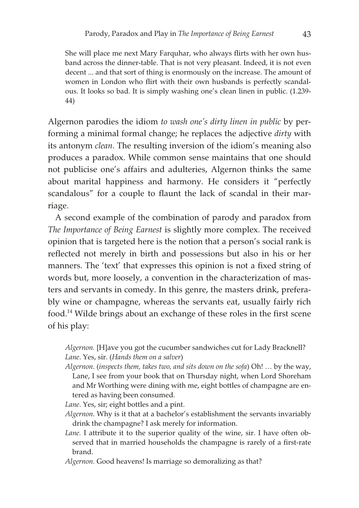She will place me next Mary Farquhar, who always flirts with her own husband across the dinner-table. That is not very pleasant. Indeed, it is not even decent ... and that sort of thing is enormously on the increase. The amount of women in London who flirt with their own husbands is perfectly scandalous. It looks so bad. It is simply washing one's clean linen in public. (1.239- 44)

Algernon parodies the idiom *to wash one's dirty linen in public* by performing a minimal formal change; he replaces the adjective *dirty* with its antonym *clean*. The resulting inversion of the idiom's meaning also produces a paradox. While common sense maintains that one should not publicise one's affairs and adulteries, Algernon thinks the same about marital happiness and harmony. He considers it "perfectly scandalous" for a couple to flaunt the lack of scandal in their marriage.

A second example of the combination of parody and paradox from *The Importance of Being Earnest* is slightly more complex. The received opinion that is targeted here is the notion that a person's social rank is reflected not merely in birth and possessions but also in his or her manners. The 'text' that expresses this opinion is not a fixed string of words but, more loosely, a convention in the characterization of masters and servants in comedy. In this genre, the masters drink, preferably wine or champagne, whereas the servants eat, usually fairly rich food.14 Wilde brings about an exchange of these roles in the first scene of his play:

*Algernon.* [H]ave you got the cucumber sandwiches cut for Lady Bracknell? *Lane*. Yes, sir. (*Hands them on a salver*)

- *Algernon*. (*inspects them, takes two, and sits down on the sofa*) Oh! … by the way, Lane, I see from your book that on Thursday night, when Lord Shoreham and Mr Worthing were dining with me, eight bottles of champagne are entered as having been consumed.
- *Lane*. Yes, sir; eight bottles and a pint.
- *Algernon*. Why is it that at a bachelor's establishment the servants invariably drink the champagne? I ask merely for information.
- *Lane.* I attribute it to the superior quality of the wine, sir. I have often observed that in married households the champagne is rarely of a first-rate brand.
- *Algernon*. Good heavens! Is marriage so demoralizing as that?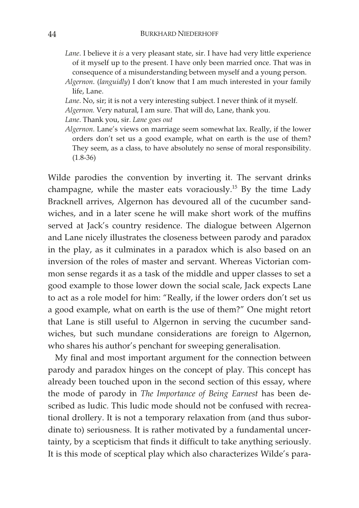- *Lane*. I believe it *is* a very pleasant state, sir. I have had very little experience of it myself up to the present. I have only been married once. That was in consequence of a misunderstanding between myself and a young person.
- *Algernon*. (*languidly*) I don't know that I am much interested in your family life, Lane.
- *Lane*. No, sir; it is not a very interesting subject. I never think of it myself. *Algernon.* Very natural, I am sure. That will do, Lane, thank you.
- 
- *Lane*. Thank you, sir. *Lane goes out*
- *Algernon*. Lane's views on marriage seem somewhat lax. Really, if the lower orders don't set us a good example, what on earth is the use of them? They seem, as a class, to have absolutely no sense of moral responsibility. (1.8-36)

Wilde parodies the convention by inverting it. The servant drinks champagne, while the master eats voraciously.15 By the time Lady Bracknell arrives, Algernon has devoured all of the cucumber sandwiches, and in a later scene he will make short work of the muffins served at Jack's country residence. The dialogue between Algernon and Lane nicely illustrates the closeness between parody and paradox in the play, as it culminates in a paradox which is also based on an inversion of the roles of master and servant. Whereas Victorian common sense regards it as a task of the middle and upper classes to set a good example to those lower down the social scale, Jack expects Lane to act as a role model for him: "Really, if the lower orders don't set us a good example, what on earth is the use of them?" One might retort that Lane is still useful to Algernon in serving the cucumber sandwiches, but such mundane considerations are foreign to Algernon, who shares his author's penchant for sweeping generalisation.

My final and most important argument for the connection between parody and paradox hinges on the concept of play. This concept has already been touched upon in the second section of this essay, where the mode of parody in *The Importance of Being Earnest* has been described as ludic. This ludic mode should not be confused with recreational drollery. It is not a temporary relaxation from (and thus subordinate to) seriousness. It is rather motivated by a fundamental uncertainty, by a scepticism that finds it difficult to take anything seriously. It is this mode of sceptical play which also characterizes Wilde's para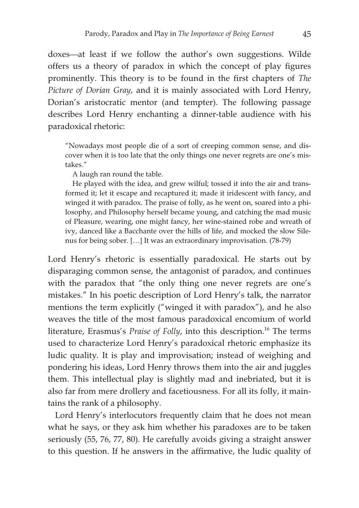doxes—at least if we follow the author's own suggestions. Wilde offers us a theory of paradox in which the concept of play figures prominently. This theory is to be found in the first chapters of *The Picture of Dorian Gray*, and it is mainly associated with Lord Henry, Dorian's aristocratic mentor (and tempter). The following passage describes Lord Henry enchanting a dinner-table audience with his paradoxical rhetoric:

"Nowadays most people die of a sort of creeping common sense, and discover when it is too late that the only things one never regrets are one's mistakes."

A laugh ran round the table.

He played with the idea, and grew wilful; tossed it into the air and transformed it; let it escape and recaptured it; made it iridescent with fancy, and winged it with paradox. The praise of folly, as he went on, soared into a philosophy, and Philosophy herself became young, and catching the mad music of Pleasure, wearing, one might fancy, her wine-stained robe and wreath of ivy, danced like a Bacchante over the hills of life, and mocked the slow Silenus for being sober. […] It was an extraordinary improvisation. (78-79)

Lord Henry's rhetoric is essentially paradoxical. He starts out by disparaging common sense, the antagonist of paradox, and continues with the paradox that "the only thing one never regrets are one's mistakes." In his poetic description of Lord Henry's talk, the narrator mentions the term explicitly ("winged it with paradox"), and he also weaves the title of the most famous paradoxical encomium of world literature, Erasmus's *Praise of Folly*, into this description.16 The terms used to characterize Lord Henry's paradoxical rhetoric emphasize its ludic quality. It is play and improvisation; instead of weighing and pondering his ideas, Lord Henry throws them into the air and juggles them. This intellectual play is slightly mad and inebriated, but it is also far from mere drollery and facetiousness. For all its folly, it maintains the rank of a philosophy.

Lord Henry's interlocutors frequently claim that he does not mean what he says, or they ask him whether his paradoxes are to be taken seriously (55, 76, 77, 80). He carefully avoids giving a straight answer to this question. If he answers in the affirmative, the ludic quality of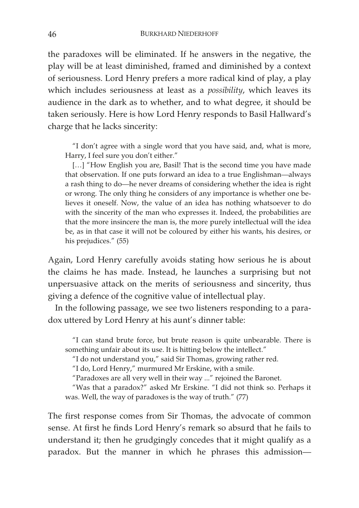the paradoxes will be eliminated. If he answers in the negative, the play will be at least diminished, framed and diminished by a context of seriousness. Lord Henry prefers a more radical kind of play, a play which includes seriousness at least as a *possibility*, which leaves its audience in the dark as to whether, and to what degree, it should be taken seriously. Here is how Lord Henry responds to Basil Hallward's charge that he lacks sincerity:

"I don't agree with a single word that you have said, and, what is more, Harry, I feel sure you don't either."

[...] "How English you are, Basil! That is the second time you have made that observation. If one puts forward an idea to a true Englishman—always a rash thing to do—he never dreams of considering whether the idea is right or wrong. The only thing he considers of any importance is whether one believes it oneself. Now, the value of an idea has nothing whatsoever to do with the sincerity of the man who expresses it. Indeed, the probabilities are that the more insincere the man is, the more purely intellectual will the idea be, as in that case it will not be coloured by either his wants, his desires, or his prejudices." (55)

Again, Lord Henry carefully avoids stating how serious he is about the claims he has made. Instead, he launches a surprising but not unpersuasive attack on the merits of seriousness and sincerity, thus giving a defence of the cognitive value of intellectual play.

In the following passage, we see two listeners responding to a paradox uttered by Lord Henry at his aunt's dinner table:

"I can stand brute force, but brute reason is quite unbearable. There is something unfair about its use. It is hitting below the intellect."

"I do not understand you," said Sir Thomas, growing rather red.

"I do, Lord Henry," murmured Mr Erskine, with a smile.

"Paradoxes are all very well in their way ..." rejoined the Baronet.

"Was that a paradox?" asked Mr Erskine. "I did not think so. Perhaps it was. Well, the way of paradoxes is the way of truth." (77)

The first response comes from Sir Thomas, the advocate of common sense. At first he finds Lord Henry's remark so absurd that he fails to understand it; then he grudgingly concedes that it might qualify as a paradox. But the manner in which he phrases this admission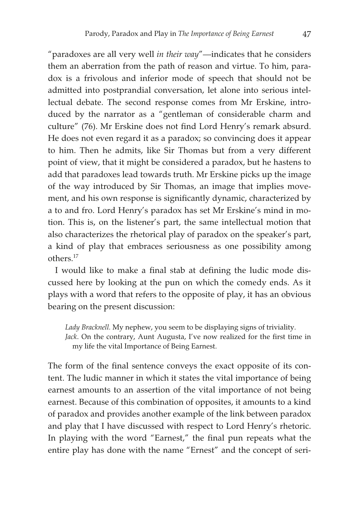"paradoxes are all very well *in their way*"—indicates that he considers them an aberration from the path of reason and virtue. To him, paradox is a frivolous and inferior mode of speech that should not be admitted into postprandial conversation, let alone into serious intellectual debate. The second response comes from Mr Erskine, introduced by the narrator as a "gentleman of considerable charm and culture" (76). Mr Erskine does not find Lord Henry's remark absurd. He does not even regard it as a paradox; so convincing does it appear to him. Then he admits, like Sir Thomas but from a very different point of view, that it might be considered a paradox, but he hastens to add that paradoxes lead towards truth. Mr Erskine picks up the image of the way introduced by Sir Thomas, an image that implies movement, and his own response is significantly dynamic, characterized by a to and fro. Lord Henry's paradox has set Mr Erskine's mind in motion. This is, on the listener's part, the same intellectual motion that also characterizes the rhetorical play of paradox on the speaker's part, a kind of play that embraces seriousness as one possibility among others.17

I would like to make a final stab at defining the ludic mode discussed here by looking at the pun on which the comedy ends. As it plays with a word that refers to the opposite of play, it has an obvious bearing on the present discussion:

*Lady Bracknell.* My nephew, you seem to be displaying signs of triviality. *Jack*. On the contrary, Aunt Augusta, I've now realized for the first time in my life the vital Importance of Being Earnest.

The form of the final sentence conveys the exact opposite of its content. The ludic manner in which it states the vital importance of being earnest amounts to an assertion of the vital importance of not being earnest. Because of this combination of opposites, it amounts to a kind of paradox and provides another example of the link between paradox and play that I have discussed with respect to Lord Henry's rhetoric. In playing with the word "Earnest," the final pun repeats what the entire play has done with the name "Ernest" and the concept of seri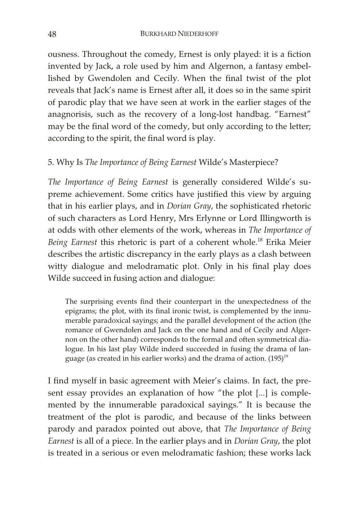ousness. Throughout the comedy, Ernest is only played: it is a fiction invented by Jack, a role used by him and Algernon, a fantasy embellished by Gwendolen and Cecily. When the final twist of the plot reveals that Jack's name is Ernest after all, it does so in the same spirit of parodic play that we have seen at work in the earlier stages of the anagnorisis, such as the recovery of a long-lost handbag. "Earnest" may be the final word of the comedy, but only according to the letter; according to the spirit, the final word is play.

# 5. Why Is *The Importance of Being Earnest* Wilde's Masterpiece?

*The Importance of Being Earnest* is generally considered Wilde's supreme achievement. Some critics have justified this view by arguing that in his earlier plays, and in *Dorian Gray*, the sophisticated rhetoric of such characters as Lord Henry, Mrs Erlynne or Lord Illingworth is at odds with other elements of the work, whereas in *The Importance of Being Earnest* this rhetoric is part of a coherent whole.18 Erika Meier describes the artistic discrepancy in the early plays as a clash between witty dialogue and melodramatic plot. Only in his final play does Wilde succeed in fusing action and dialogue:

The surprising events find their counterpart in the unexpectedness of the epigrams; the plot, with its final ironic twist, is complemented by the innumerable paradoxical sayings; and the parallel development of the action (the romance of Gwendolen and Jack on the one hand and of Cecily and Algernon on the other hand) corresponds to the formal and often symmetrical dialogue. In his last play Wilde indeed succeeded in fusing the drama of language (as created in his earlier works) and the drama of action. (195)<sup>19</sup>

I find myself in basic agreement with Meier's claims. In fact, the present essay provides an explanation of how "the plot [...] is complemented by the innumerable paradoxical sayings." It is because the treatment of the plot is parodic, and because of the links between parody and paradox pointed out above, that *The Importance of Being Earnest* is all of a piece. In the earlier plays and in *Dorian Gray*, the plot is treated in a serious or even melodramatic fashion; these works lack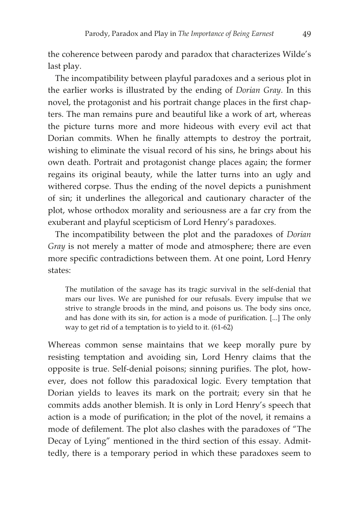the coherence between parody and paradox that characterizes Wilde's last play.

The incompatibility between playful paradoxes and a serious plot in the earlier works is illustrated by the ending of *Dorian Gray*. In this novel, the protagonist and his portrait change places in the first chapters. The man remains pure and beautiful like a work of art, whereas the picture turns more and more hideous with every evil act that Dorian commits. When he finally attempts to destroy the portrait, wishing to eliminate the visual record of his sins, he brings about his own death. Portrait and protagonist change places again; the former regains its original beauty, while the latter turns into an ugly and withered corpse. Thus the ending of the novel depicts a punishment of sin; it underlines the allegorical and cautionary character of the plot, whose orthodox morality and seriousness are a far cry from the exuberant and playful scepticism of Lord Henry's paradoxes.

The incompatibility between the plot and the paradoxes of *Dorian Gray* is not merely a matter of mode and atmosphere; there are even more specific contradictions between them. At one point, Lord Henry states:

The mutilation of the savage has its tragic survival in the self-denial that mars our lives. We are punished for our refusals. Every impulse that we strive to strangle broods in the mind, and poisons us. The body sins once, and has done with its sin, for action is a mode of purification. [...] The only way to get rid of a temptation is to yield to it. (61-62)

Whereas common sense maintains that we keep morally pure by resisting temptation and avoiding sin, Lord Henry claims that the opposite is true. Self-denial poisons; sinning purifies. The plot, however, does not follow this paradoxical logic. Every temptation that Dorian yields to leaves its mark on the portrait; every sin that he commits adds another blemish. It is only in Lord Henry's speech that action is a mode of purification; in the plot of the novel, it remains a mode of defilement. The plot also clashes with the paradoxes of "The Decay of Lying" mentioned in the third section of this essay. Admittedly, there is a temporary period in which these paradoxes seem to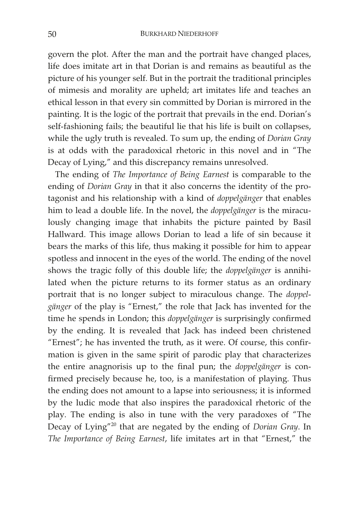govern the plot. After the man and the portrait have changed places, life does imitate art in that Dorian is and remains as beautiful as the picture of his younger self. But in the portrait the traditional principles of mimesis and morality are upheld; art imitates life and teaches an ethical lesson in that every sin committed by Dorian is mirrored in the painting. It is the logic of the portrait that prevails in the end. Dorian's self-fashioning fails; the beautiful lie that his life is built on collapses, while the ugly truth is revealed. To sum up, the ending of *Dorian Gray* is at odds with the paradoxical rhetoric in this novel and in "The Decay of Lying," and this discrepancy remains unresolved.

The ending of *The Importance of Being Earnest* is comparable to the ending of *Dorian Gray* in that it also concerns the identity of the protagonist and his relationship with a kind of *doppelgänger* that enables him to lead a double life. In the novel, the *doppelgänger* is the miraculously changing image that inhabits the picture painted by Basil Hallward. This image allows Dorian to lead a life of sin because it bears the marks of this life, thus making it possible for him to appear spotless and innocent in the eyes of the world. The ending of the novel shows the tragic folly of this double life; the *doppelgänger* is annihilated when the picture returns to its former status as an ordinary portrait that is no longer subject to miraculous change. The *doppelgänger* of the play is "Ernest," the role that Jack has invented for the time he spends in London; this *doppelgänger* is surprisingly confirmed by the ending. It is revealed that Jack has indeed been christened "Ernest"; he has invented the truth, as it were. Of course, this confirmation is given in the same spirit of parodic play that characterizes the entire anagnorisis up to the final pun; the *doppelgänger* is confirmed precisely because he, too, is a manifestation of playing. Thus the ending does not amount to a lapse into seriousness; it is informed by the ludic mode that also inspires the paradoxical rhetoric of the play. The ending is also in tune with the very paradoxes of "The Decay of Lying"20 that are negated by the ending of *Dorian Gray*. In *The Importance of Being Earnest*, life imitates art in that "Ernest," the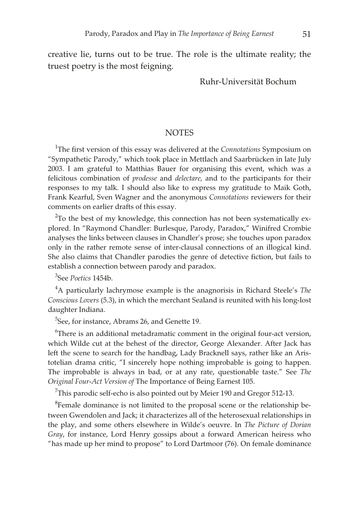creative lie, turns out to be true. The role is the ultimate reality; the truest poetry is the most feigning.

#### Ruhr-Universität Bochum

#### **NOTES**

1 The first version of this essay was delivered at the *Connotations* Symposium on "Sympathetic Parody," which took place in Mettlach and Saarbrücken in late July 2003. I am grateful to Matthias Bauer for organising this event, which was a felicitous combination of *prodesse* and *delectare,* and to the participants for their responses to my talk. I should also like to express my gratitude to Maik Goth, Frank Kearful, Sven Wagner and the anonymous *Connotations* reviewers for their comments on earlier drafts of this essay.

 $2$ To the best of my knowledge, this connection has not been systematically explored. In "Raymond Chandler: Burlesque, Parody, Paradox," Winifred Crombie analyses the links between clauses in Chandler's prose; she touches upon paradox only in the rather remote sense of inter-clausal connections of an illogical kind. She also claims that Chandler parodies the genre of detective fiction, but fails to establish a connection between parody and paradox.

3 See *Poetics* 1454b.

4 A particularly lachrymose example is the anagnorisis in Richard Steele's *The Conscious Lovers* (5.3), in which the merchant Sealand is reunited with his long-lost daughter Indiana.

<sup>5</sup>See, for instance, Abrams 26, and Genette 19.

 ${}^{6}$ There is an additional metadramatic comment in the original four-act version, which Wilde cut at the behest of the director, George Alexander. After Jack has left the scene to search for the handbag, Lady Bracknell says, rather like an Aristotelian drama critic, "I sincerely hope nothing improbable is going to happen. The improbable is always in bad, or at any rate, questionable taste." See *The Original Four-Act Version of* The Importance of Being Earnest 105.

<sup>7</sup>This parodic self-echo is also pointed out by Meier 190 and Gregor 512-13.

 ${}^{8}$ Female dominance is not limited to the proposal scene or the relationship between Gwendolen and Jack; it characterizes all of the heterosexual relationships in the play, and some others elsewhere in Wilde's oeuvre. In *The Picture of Dorian Gray*, for instance, Lord Henry gossips about a forward American heiress who "has made up her mind to propose" to Lord Dartmoor (76). On female dominance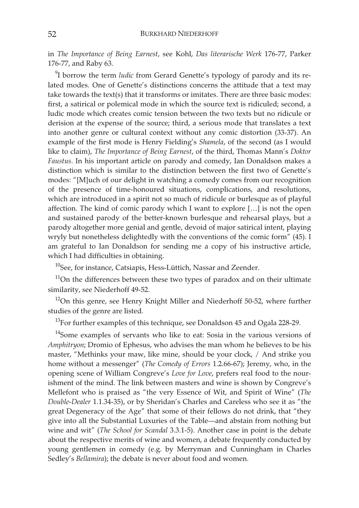in *The Importance of Being Earnest*, see Kohl, *Das literarische Werk* 176-77, Parker 176-77, and Raby 63.

9 I borrow the term *ludic* from Gerard Genette's typology of parody and its related modes. One of Genette's distinctions concerns the attitude that a text may take towards the text(s) that it transforms or imitates. There are three basic modes: first, a satirical or polemical mode in which the source text is ridiculed; second, a ludic mode which creates comic tension between the two texts but no ridicule or derision at the expense of the source; third, a serious mode that translates a text into another genre or cultural context without any comic distortion (33-37). An example of the first mode is Henry Fielding's *Shamela*, of the second (as I would like to claim), *The Importance of Being Earnest*, of the third, Thomas Mann's *Doktor Faustus*. In his important article on parody and comedy, Ian Donaldson makes a distinction which is similar to the distinction between the first two of Genette's modes: "[M]uch of our delight in watching a comedy comes from our recognition of the presence of time-honoured situations, complications, and resolutions, which are introduced in a spirit not so much of ridicule or burlesque as of playful affection. The kind of comic parody which I want to explore […] is not the open and sustained parody of the better-known burlesque and rehearsal plays, but a parody altogether more genial and gentle, devoid of major satirical intent, playing wryly but nonetheless delightedly with the conventions of the comic form" (45). I am grateful to Ian Donaldson for sending me a copy of his instructive article, which I had difficulties in obtaining.

<sup>10</sup>See, for instance, Catsiapis, Hess-Lüttich, Nassar and Zeender.

 $11$ On the differences between these two types of paradox and on their ultimate similarity, see Niederhoff 49-52.

 $12$ On this genre, see Henry Knight Miller and Niederhoff 50-52, where further studies of the genre are listed.

<sup>13</sup>For further examples of this technique, see Donaldson 45 and Ogala 228-29.

14Some examples of servants who like to eat: Sosia in the various versions of *Amphitryon*; Dromio of Ephesus, who advises the man whom he believes to be his master, "Methinks your maw, like mine, should be your clock, / And strike you home without a messenger" (*The Comedy of Errors* 1.2.66-67); Jeremy, who, in the opening scene of William Congreve's *Love for Love*, prefers real food to the nourishment of the mind. The link between masters and wine is shown by Congreve's Mellefont who is praised as "the very Essence of Wit, and Spirit of Wine" (*The Double-Dealer* 1.1.34-35), or by Sheridan's Charles and Careless who see it as "the great Degeneracy of the Age" that some of their fellows do not drink, that "they give into all the Substantial Luxuries of the Table—and abstain from nothing but wine and wit" (*The School for Scandal* 3.3.1-5). Another case in point is the debate about the respective merits of wine and women, a debate frequently conducted by young gentlemen in comedy (e.g. by Merryman and Cunningham in Charles Sedley's *Bellamira*); the debate is never about food and women.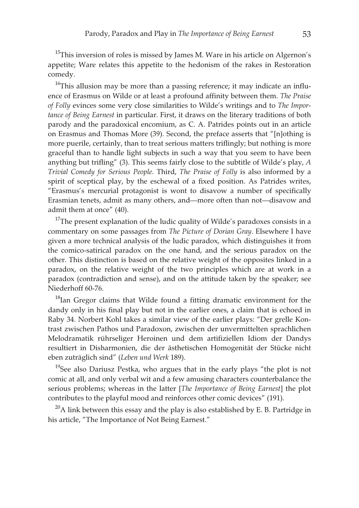<sup>15</sup>This inversion of roles is missed by James M. Ware in his article on Algernon's appetite; Ware relates this appetite to the hedonism of the rakes in Restoration comedy.

 $16$ This allusion may be more than a passing reference; it may indicate an influence of Erasmus on Wilde or at least a profound affinity between them. *The Praise of Folly* evinces some very close similarities to Wilde's writings and to *The Importance of Being Earnest* in particular. First, it draws on the literary traditions of both parody and the paradoxical encomium, as C. A. Patrides points out in an article on Erasmus and Thomas More (39). Second, the preface asserts that "[n]othing is more puerile, certainly, than to treat serious matters triflingly; but nothing is more graceful than to handle light subjects in such a way that you seem to have been anything but trifling" (3). This seems fairly close to the subtitle of Wilde's play, *A Trivial Comedy for Serious People*. Third, *The Praise of Folly* is also informed by a spirit of sceptical play, by the eschewal of a fixed position. As Patrides writes, "Erasmus's mercurial protagonist is wont to disavow a number of specifically Erasmian tenets, admit as many others, and—more often than not—disavow and admit them at once" (40).

 $17$ The present explanation of the ludic quality of Wilde's paradoxes consists in a commentary on some passages from *The Picture of Dorian Gray*. Elsewhere I have given a more technical analysis of the ludic paradox, which distinguishes it from the comico-satirical paradox on the one hand, and the serious paradox on the other. This distinction is based on the relative weight of the opposites linked in a paradox, on the relative weight of the two principles which are at work in a paradox (contradiction and sense), and on the attitude taken by the speaker; see Niederhoff 60-76.

<sup>18</sup>Ian Gregor claims that Wilde found a fitting dramatic environment for the dandy only in his final play but not in the earlier ones, a claim that is echoed in Raby 34. Norbert Kohl takes a similar view of the earlier plays: "Der grelle Kontrast zwischen Pathos und Paradoxon, zwischen der unvermittelten sprachlichen Melodramatik rührseliger Heroinen und dem artifiziellen Idiom der Dandys resultiert in Disharmonien, die der ästhetischen Homogenität der Stücke nicht eben zuträglich sind" (*Leben und Werk* 189).

<sup>19</sup>See also Dariusz Pestka, who argues that in the early plays "the plot is not comic at all, and only verbal wit and a few amusing characters counterbalance the serious problems; whereas in the latter [*The Importance of Being Earnest*] the plot contributes to the playful mood and reinforces other comic devices" (191).

 $^{20}$ A link between this essay and the play is also established by E. B. Partridge in his article, "The Importance of Not Being Earnest."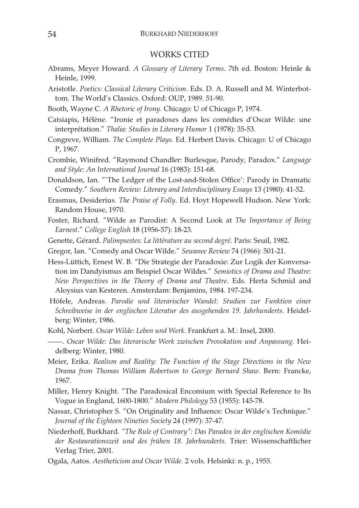#### WORKS CITED

- Abrams, Meyer Howard. *A Glossary of Literary Terms*. 7th ed. Boston: Heinle & Heinle, 1999.
- Aristotle. *Poetics: Classical Literary Criticism*. Eds. D. A. Russell and M. Winterbottom. The World's Classics. Oxford: OUP, 1989. 51-90.
- Booth, Wayne C. *A Rhetoric of Irony*. Chicago: U of Chicago P, 1974.
- Catsiapis, Hélène. "Ironie et paradoxes dans les comédies d'Oscar Wilde: une interprétation." *Thalia: Studies in Literary Humor* 1 (1978): 35-53.
- Congreve, William. *The Complete Plays*. Ed. Herbert Davis. Chicago: U of Chicago P, 1967.
- Crombie, Winifred. "Raymond Chandler: Burlesque, Parody, Paradox." *Language and Style: An International Journal* 16 (1983): 151-68.
- Donaldson, Ian. "'The Ledger of the Lost-and-Stolen Office': Parody in Dramatic Comedy." *Southern Review: Literary and Interdisciplinary Essays* 13 (1980): 41-52.
- Erasmus, Desiderius. *The Praise of Folly*. Ed. Hoyt Hopewell Hudson. New York: Random House, 1970.
- Foster, Richard. "Wilde as Parodist: A Second Look at *The Importance of Being Earnest*." *College English* 18 (1956-57): 18-23.
- Genette, Gérard. *Palimpsestes: La littérature au second degré*. Paris: Seuil, 1982.
- Gregor, Ian. "Comedy and Oscar Wilde." *Sewanee Review* 74 (1966): 501-21.
- Hess-Lüttich, Ernest W. B. "Die Strategie der Paradoxie: Zur Logik der Konversation im Dandyismus am Beispiel Oscar Wildes." *Semiotics of Drama and Theatre: New Perspectives in the Theory of Drama and Theatre*. Eds. Herta Schmid and Aloysius van Kesteren. Amsterdam: Benjamins, 1984. 197-234.
- Höfele, Andreas. *Parodie und literarischer Wandel: Studien zur Funktion einer Schreibweise in der englischen Literatur des ausgehenden 19. Jahrhunderts*. Heidelberg: Winter, 1986.
- Kohl, Norbert. *Oscar Wilde: Leben und Werk*. Frankfurt a. M.: Insel, 2000.
- ——. *Oscar Wilde: Das literarische Werk zwischen Provokation und Anpassung.* Heidelberg: Winter, 1980.
- Meier, Erika. *Realism and Reality: The Function of the Stage Directions in the New Drama from Thomas William Robertson to George Bernard Shaw*. Bern: Francke, 1967.
- Miller, Henry Knight. "The Paradoxical Encomium with Special Reference to Its Vogue in England, 1600-1800." *Modern Philology* 53 (1955): 145-78.
- Nassar, Christopher S. "On Originality and Influence: Oscar Wilde's Technique." *Journal of the Eighteen Nineties Society* 24 (1997): 37-47.
- Niederhoff, Burkhard. *"The Rule of Contrary": Das Paradox in der englischen Komödie der Restaurationszeit und des frühen 18. Jahrhunderts.* Trier: Wissenschaftlicher Verlag Trier, 2001.
- Ogala, Aatos. *Aestheticism and Oscar Wilde.* 2 vols. Helsinki: n. p., 1955.